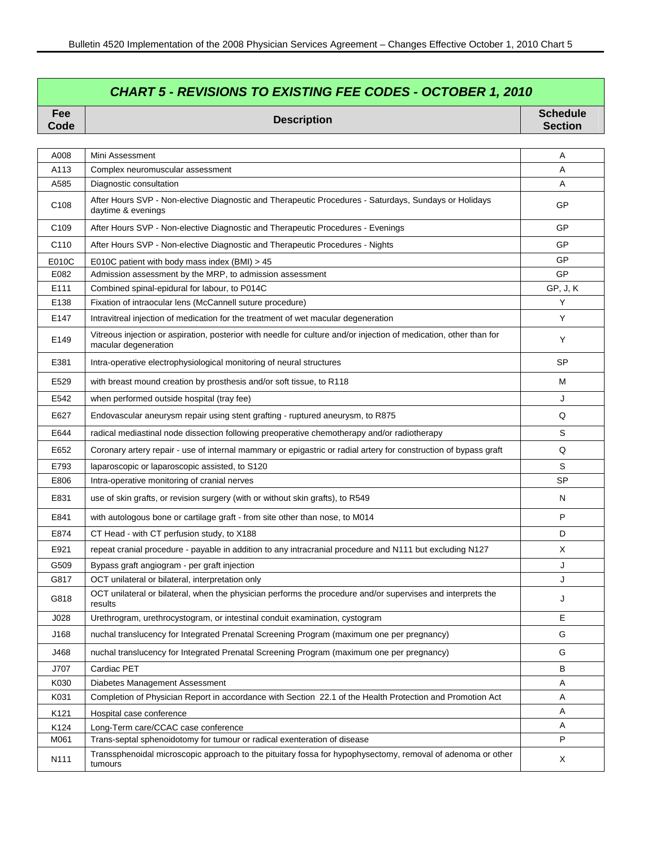## *CHART 5 - REVISIONS TO EXISTING FEE CODES - OCTOBER 1, 2010*

**Code Description Schedule Section** 

| A008             | Mini Assessment                                                                                                                            | Α         |
|------------------|--------------------------------------------------------------------------------------------------------------------------------------------|-----------|
| A113             | Complex neuromuscular assessment                                                                                                           | A         |
| A585             | Diagnostic consultation                                                                                                                    | A         |
| C108             | After Hours SVP - Non-elective Diagnostic and Therapeutic Procedures - Saturdays, Sundays or Holidays<br>daytime & evenings                | GP        |
| C <sub>109</sub> | After Hours SVP - Non-elective Diagnostic and Therapeutic Procedures - Evenings                                                            | GP        |
| C110             | After Hours SVP - Non-elective Diagnostic and Therapeutic Procedures - Nights                                                              | GP        |
| E010C            | E010C patient with body mass index (BMI) > 45                                                                                              | GP        |
| E082             | Admission assessment by the MRP, to admission assessment                                                                                   | <b>GP</b> |
| E111             | Combined spinal-epidural for labour, to P014C                                                                                              | GP, J, K  |
| E138             | Fixation of intraocular lens (McCannell suture procedure)                                                                                  | Y         |
| E147             | Intravitreal injection of medication for the treatment of wet macular degeneration                                                         | Y         |
| E149             | Vitreous injection or aspiration, posterior with needle for culture and/or injection of medication, other than for<br>macular degeneration | Y         |
| E381             | Intra-operative electrophysiological monitoring of neural structures                                                                       | <b>SP</b> |
| E529             | with breast mound creation by prosthesis and/or soft tissue, to R118                                                                       | м         |
| E542             | when performed outside hospital (tray fee)                                                                                                 | J         |
| E627             | Endovascular aneurysm repair using stent grafting - ruptured aneurysm, to R875                                                             | Q         |
| E644             | radical mediastinal node dissection following preoperative chemotherapy and/or radiotherapy                                                | S         |
| E652             | Coronary artery repair - use of internal mammary or epigastric or radial artery for construction of bypass graft                           | Q         |
| E793             | laparoscopic or laparoscopic assisted, to S120                                                                                             | S         |
| E806             | Intra-operative monitoring of cranial nerves                                                                                               | <b>SP</b> |
| E831             | use of skin grafts, or revision surgery (with or without skin grafts), to R549                                                             | N         |
| E841             | with autologous bone or cartilage graft - from site other than nose, to M014                                                               | P         |
| E874             | CT Head - with CT perfusion study, to X188                                                                                                 | D         |
| E921             | repeat cranial procedure - payable in addition to any intracranial procedure and N111 but excluding N127                                   | Χ         |
| G509             | Bypass graft angiogram - per graft injection                                                                                               | J         |
| G817             | OCT unilateral or bilateral, interpretation only                                                                                           | J         |
| G818             | OCT unilateral or bilateral, when the physician performs the procedure and/or supervises and interprets the<br>results                     | J         |
| J028             | Urethrogram, urethrocystogram, or intestinal conduit examination, cystogram                                                                | Е         |
| J168             | nuchal translucency for Integrated Prenatal Screening Program (maximum one per pregnancy)                                                  | G         |
| J468             | nuchal translucency for Integrated Prenatal Screening Program (maximum one per pregnancy)                                                  | G         |
| J707             | Cardiac PET                                                                                                                                | B         |
| K030             | Diabetes Management Assessment                                                                                                             | A         |
| K031             | Completion of Physician Report in accordance with Section 22.1 of the Health Protection and Promotion Act                                  | Α         |
| K121             | Hospital case conference                                                                                                                   | Α         |
| K124             | Long-Term care/CCAC case conference                                                                                                        | A         |
| M061             | Trans-septal sphenoidotomy for tumour or radical exenteration of disease                                                                   | P         |
| N111             | Transsphenoidal microscopic approach to the pituitary fossa for hypophysectomy, removal of adenoma or other<br>tumours                     | X         |